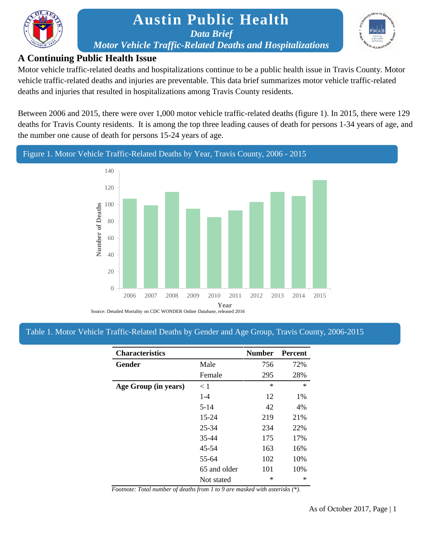

# **Austin Public Health** *Data Brief Motor Vehicle Traffic-Related Deaths and Hospitalizations*



#### **H** i *dia i c* i *c* i *c* i *c* i *c* i *c* i *c* i *c* i *c* i *c* i *c* i *c* **A Continuing Public Health Issue**

Motor vehicle traffic-related deaths and hospitalizations continue to be a public health issue in Travis County. Motor vehicle traffic-related deaths and injuries are preventable. This data brief summarizes motor vehicle traffic-related deaths and injuries that resulted in hospitalizations among Travis County residents.

Between 2006 and 2015, there were over 1,000 motor vehicle traffic-related deaths (figure 1). In 2015, there were 129 deaths for Travis County residents. It is among the top three leading causes of death for persons 1-34 years of age, and the number one cause of death for persons 15-24 years of age.

### Figure 1. Motor Vehicle Traffic-Related Deaths by Year, Travis County, 2006 - 2015



Source: Detailed Mortality on CDC WONDER Online Database, released 2016

#### Table 1. Motor Vehicle Traffic-Related Deaths by Gender and Age Group, Travis County, 2006-2015

| <b>Characteristics</b> |              | <b>Number</b> | <b>Percent</b> |
|------------------------|--------------|---------------|----------------|
| Gender                 | Male         | 756           | 72%            |
|                        | Female       | 295           | 28%            |
| Age Group (in years)   | < 1          | $\ast$        | $\ast$         |
|                        | $1 - 4$      | 12            | 1%             |
|                        | $5 - 14$     | 42            | 4%             |
|                        | $15 - 24$    | 219           | 21%            |
|                        | 25-34        | 234           | 22%            |
|                        | 35-44        | 175           | 17%            |
|                        | 45-54        | 163           | 16%            |
|                        | 55-64        | 102           | 10%            |
|                        | 65 and older | 101           | 10%            |
|                        | Not stated   | ∗             | ∗              |

*Footnote: Total number of deaths from 1 to 9 are masked with asterisks (\*).*